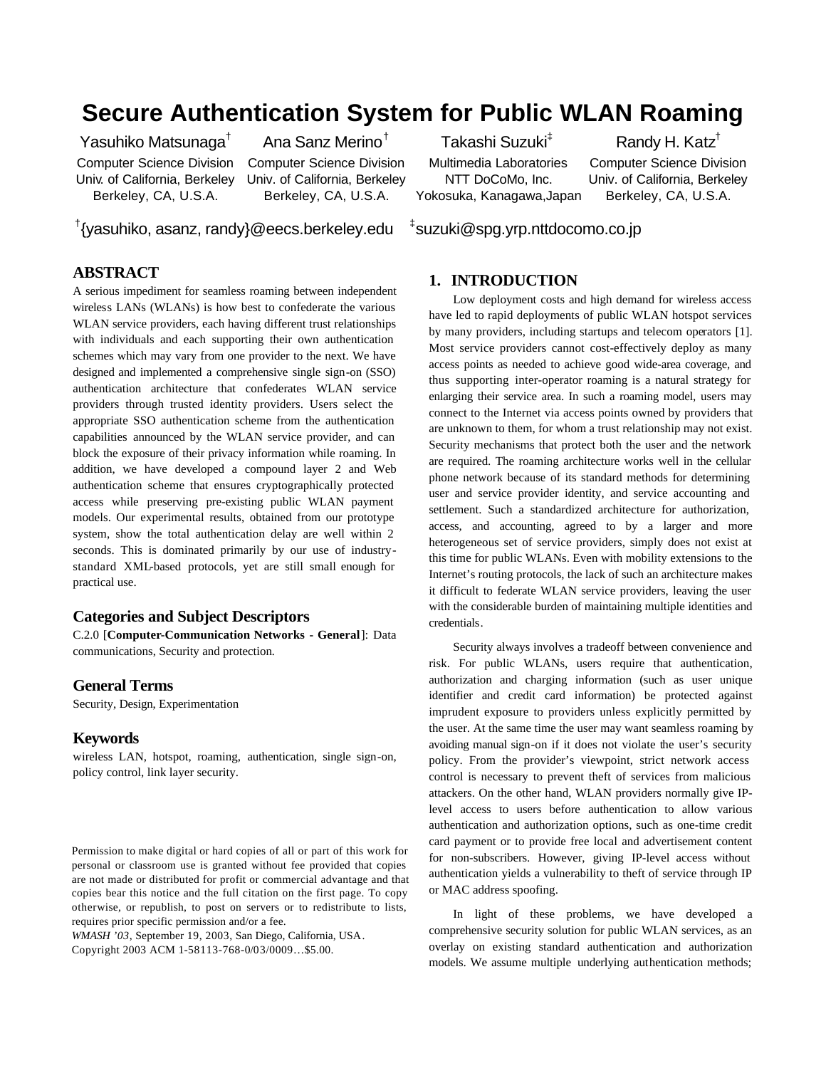# **Secure Authentication System for Public WLAN Roaming**

Yasuhiko Matsunaga† Computer Science Division Univ. of California, Berkeley Berkeley, CA, U.S.A.

Ana Sanz Merino†

Computer Science Division Univ. of California, Berkeley Berkeley, CA, U.S.A.

<sup>†</sup>{yasuhiko, asanz, randy}@eecs.berkeley.edu <sup>‡</sup>

## **ABSTRACT**

A serious impediment for seamless roaming between independent wireless LANs (WLANs) is how best to confederate the various WLAN service providers, each having different trust relationships with individuals and each supporting their own authentication schemes which may vary from one provider to the next. We have designed and implemented a comprehensive single sign-on (SSO) authentication architecture that confederates WLAN service providers through trusted identity providers. Users select the appropriate SSO authentication scheme from the authentication capabilities announced by the WLAN service provider, and can block the exposure of their privacy information while roaming. In addition, we have developed a compound layer 2 and Web authentication scheme that ensures cryptographically protected access while preserving pre-existing public WLAN payment models. Our experimental results, obtained from our prototype system, show the total authentication delay are well within 2 seconds. This is dominated primarily by our use of industrystandard XML-based protocols, yet are still small enough for practical use.

## **Categories and Subject Descriptors**

C.2.0 [**Computer-Communication Networks - General**]: Data communications, Security and protection*.*

## **General Terms**

Security, Design, Experimentation

## **Keywords**

wireless LAN, hotspot, roaming, authentication, single sign-on, policy control, link layer security.

Permission to make digital or hard copies of all or part of this work for personal or classroom use is granted without fee provided that copies are not made or distributed for profit or commercial advantage and that copies bear this notice and the full citation on the first page. To copy otherwise, or republish, to post on servers or to redistribute to lists, requires prior specific permission and/or a fee.

*WMASH '03*, September 19, 2003, San Diego, California, USA. Copyright 2003 ACM 1-58113-768-0/03/0009…\$5.00.

Takashi Suzuki‡ Multimedia Laboratories NTT DoCoMo, Inc. Yokosuka, Kanagawa,Japan Randy H. Katz†

Computer Science Division Univ. of California, Berkeley Berkeley, CA, U.S.A.

suzuki@spg.yrp.nttdocomo.co.jp

## **1. INTRODUCTION**

Low deployment costs and high demand for wireless access have led to rapid deployments of public WLAN hotspot services by many providers, including startups and telecom operators [1]. Most service providers cannot cost-effectively deploy as many access points as needed to achieve good wide-area coverage, and thus supporting inter-operator roaming is a natural strategy for enlarging their service area. In such a roaming model, users may connect to the Internet via access points owned by providers that are unknown to them, for whom a trust relationship may not exist. Security mechanisms that protect both the user and the network are required. The roaming architecture works well in the cellular phone network because of its standard methods for determining user and service provider identity, and service accounting and settlement. Such a standardized architecture for authorization, access, and accounting, agreed to by a larger and more heterogeneous set of service providers, simply does not exist at this time for public WLANs. Even with mobility extensions to the Internet's routing protocols, the lack of such an architecture makes it difficult to federate WLAN service providers, leaving the user with the considerable burden of maintaining multiple identities and credentials.

Security always involves a tradeoff between convenience and risk. For public WLANs, users require that authentication, authorization and charging information (such as user unique identifier and credit card information) be protected against imprudent exposure to providers unless explicitly permitted by the user. At the same time the user may want seamless roaming by avoiding manual sign-on if it does not violate the user's security policy. From the provider's viewpoint, strict network access control is necessary to prevent theft of services from malicious attackers. On the other hand, WLAN providers normally give IPlevel access to users before authentication to allow various authentication and authorization options, such as one-time credit card payment or to provide free local and advertisement content for non-subscribers. However, giving IP-level access without authentication yields a vulnerability to theft of service through IP or MAC address spoofing.

In light of these problems, we have developed a comprehensive security solution for public WLAN services, as an overlay on existing standard authentication and authorization models. We assume multiple underlying authentication methods;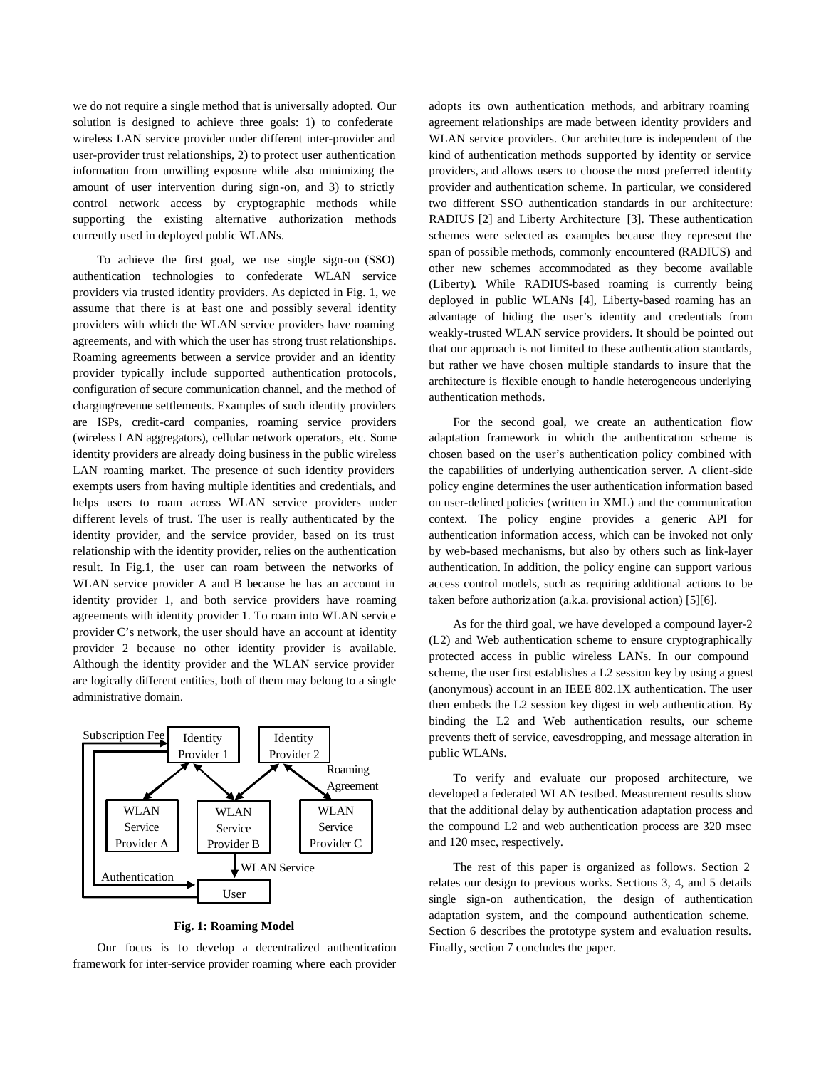we do not require a single method that is universally adopted. Our solution is designed to achieve three goals: 1) to confederate wireless LAN service provider under different inter-provider and user-provider trust relationships, 2) to protect user authentication information from unwilling exposure while also minimizing the amount of user intervention during sign-on, and 3) to strictly control network access by cryptographic methods while supporting the existing alternative authorization methods currently used in deployed public WLANs.

To achieve the first goal, we use single sign-on (SSO) authentication technologies to confederate WLAN service providers via trusted identity providers. As depicted in Fig. 1, we assume that there is at least one and possibly several identity providers with which the WLAN service providers have roaming agreements, and with which the user has strong trust relationships. Roaming agreements between a service provider and an identity provider typically include supported authentication protocols, configuration of secure communication channel, and the method of charging/revenue settlements. Examples of such identity providers are ISPs, credit-card companies, roaming service providers (wireless LAN aggregators), cellular network operators, etc. Some identity providers are already doing business in the public wireless LAN roaming market. The presence of such identity providers exempts users from having multiple identities and credentials, and helps users to roam across WLAN service providers under different levels of trust. The user is really authenticated by the identity provider, and the service provider, based on its trust relationship with the identity provider, relies on the authentication result. In Fig.1, the user can roam between the networks of WLAN service provider A and B because he has an account in identity provider 1, and both service providers have roaming agreements with identity provider 1. To roam into WLAN service provider C's network, the user should have an account at identity provider 2 because no other identity provider is available. Although the identity provider and the WLAN service provider are logically different entities, both of them may belong to a single administrative domain.



**Fig. 1: Roaming Model**

Our focus is to develop a decentralized authentication framework for inter-service provider roaming where each provider

adopts its own authentication methods, and arbitrary roaming agreement relationships are made between identity providers and WLAN service providers. Our architecture is independent of the kind of authentication methods supported by identity or service providers, and allows users to choose the most preferred identity provider and authentication scheme. In particular, we considered two different SSO authentication standards in our architecture: RADIUS [2] and Liberty Architecture [3]. These authentication schemes were selected as examples because they represent the span of possible methods, commonly encountered (RADIUS) and other new schemes accommodated as they become available (Liberty). While RADIUS-based roaming is currently being deployed in public WLANs [4], Liberty-based roaming has an advantage of hiding the user's identity and credentials from weakly-trusted WLAN service providers. It should be pointed out that our approach is not limited to these authentication standards, but rather we have chosen multiple standards to insure that the architecture is flexible enough to handle heterogeneous underlying authentication methods.

For the second goal, we create an authentication flow adaptation framework in which the authentication scheme is chosen based on the user's authentication policy combined with the capabilities of underlying authentication server. A client-side policy engine determines the user authentication information based on user-defined policies (written in XML) and the communication context. The policy engine provides a generic API for authentication information access, which can be invoked not only by web-based mechanisms, but also by others such as link-layer authentication. In addition, the policy engine can support various access control models, such as requiring additional actions to be taken before authorization (a.k.a. provisional action) [5][6].

As for the third goal, we have developed a compound layer-2 (L2) and Web authentication scheme to ensure cryptographically protected access in public wireless LANs. In our compound scheme, the user first establishes a L2 session key by using a guest (anonymous) account in an IEEE 802.1X authentication. The user then embeds the L2 session key digest in web authentication. By binding the L2 and Web authentication results, our scheme prevents theft of service, eavesdropping, and message alteration in public WLANs.

To verify and evaluate our proposed architecture, we developed a federated WLAN testbed. Measurement results show that the additional delay by authentication adaptation process and the compound L2 and web authentication process are 320 msec and 120 msec, respectively.

The rest of this paper is organized as follows. Section 2 relates our design to previous works. Sections 3, 4, and 5 details single sign-on authentication, the design of authentication adaptation system, and the compound authentication scheme. Section 6 describes the prototype system and evaluation results. Finally, section 7 concludes the paper.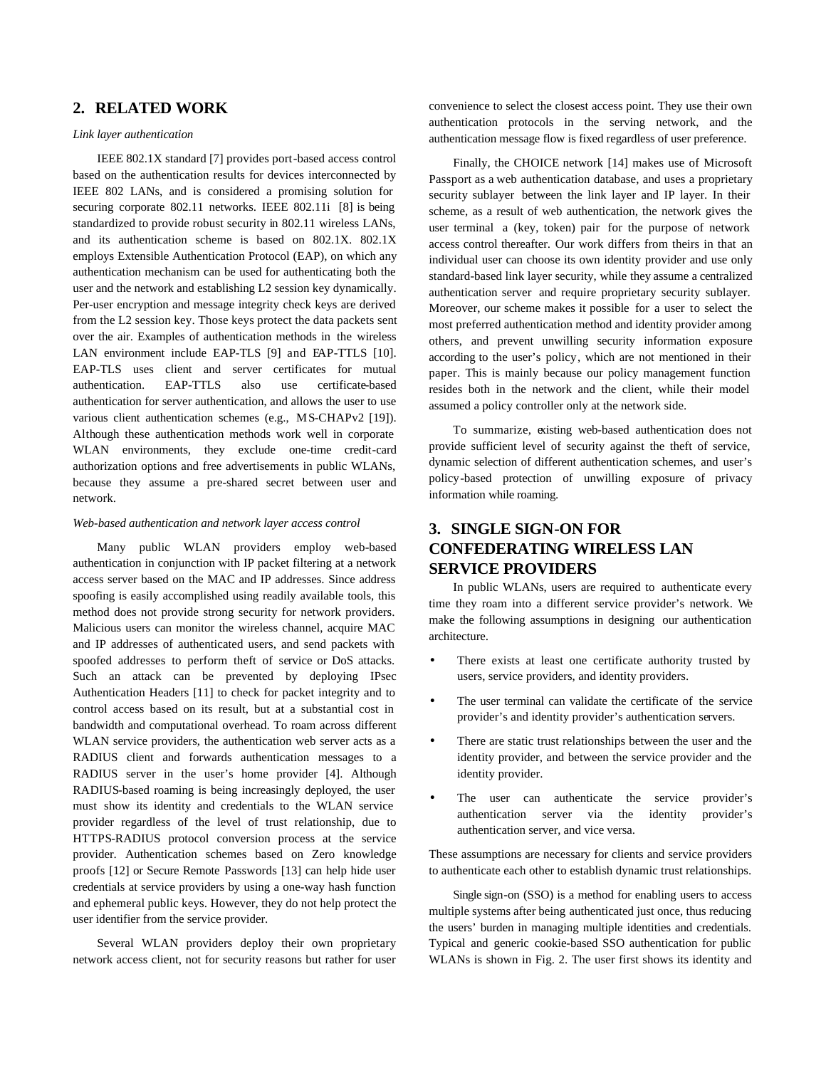## **2. RELATED WORK**

#### *Link layer authentication*

IEEE 802.1X standard [7] provides port-based access control based on the authentication results for devices interconnected by IEEE 802 LANs, and is considered a promising solution for securing corporate 802.11 networks. IEEE 802.11i [8] is being standardized to provide robust security in 802.11 wireless LANs, and its authentication scheme is based on 802.1X. 802.1X employs Extensible Authentication Protocol (EAP), on which any authentication mechanism can be used for authenticating both the user and the network and establishing L2 session key dynamically. Per-user encryption and message integrity check keys are derived from the L2 session key. Those keys protect the data packets sent over the air. Examples of authentication methods in the wireless LAN environment include EAP-TLS [9] and EAP-TTLS [10]. EAP-TLS uses client and server certificates for mutual authentication. EAP-TTLS also use certificate-based authentication for server authentication, and allows the user to use various client authentication schemes (e.g., MS-CHAPv2 [19]). Although these authentication methods work well in corporate WLAN environments, they exclude one-time credit-card authorization options and free advertisements in public WLANs, because they assume a pre-shared secret between user and network.

#### *Web-based authentication and network layer access control*

Many public WLAN providers employ web-based authentication in conjunction with IP packet filtering at a network access server based on the MAC and IP addresses. Since address spoofing is easily accomplished using readily available tools, this method does not provide strong security for network providers. Malicious users can monitor the wireless channel, acquire MAC and IP addresses of authenticated users, and send packets with spoofed addresses to perform theft of service or DoS attacks. Such an attack can be prevented by deploying IPsec Authentication Headers [11] to check for packet integrity and to control access based on its result, but at a substantial cost in bandwidth and computational overhead. To roam across different WLAN service providers, the authentication web server acts as a RADIUS client and forwards authentication messages to a RADIUS server in the user's home provider [4]. Although RADIUS-based roaming is being increasingly deployed, the user must show its identity and credentials to the WLAN service provider regardless of the level of trust relationship, due to HTTPS-RADIUS protocol conversion process at the service provider. Authentication schemes based on Zero knowledge proofs [12] or Secure Remote Passwords [13] can help hide user credentials at service providers by using a one-way hash function and ephemeral public keys. However, they do not help protect the user identifier from the service provider.

Several WLAN providers deploy their own proprietary network access client, not for security reasons but rather for user convenience to select the closest access point. They use their own authentication protocols in the serving network, and the authentication message flow is fixed regardless of user preference.

Finally, the CHOICE network [14] makes use of Microsoft Passport as a web authentication database, and uses a proprietary security sublayer between the link layer and IP layer. In their scheme, as a result of web authentication, the network gives the user terminal a (key, token) pair for the purpose of network access control thereafter. Our work differs from theirs in that an individual user can choose its own identity provider and use only standard-based link layer security, while they assume a centralized authentication server and require proprietary security sublayer. Moreover, our scheme makes it possible for a user to select the most preferred authentication method and identity provider among others, and prevent unwilling security information exposure according to the user's policy, which are not mentioned in their paper. This is mainly because our policy management function resides both in the network and the client, while their model assumed a policy controller only at the network side.

To summarize, existing web-based authentication does not provide sufficient level of security against the theft of service, dynamic selection of different authentication schemes, and user's policy-based protection of unwilling exposure of privacy information while roaming.

## **3. SINGLE SIGN-ON FOR CONFEDERATING WIRELESS LAN SERVICE PROVIDERS**

In public WLANs, users are required to authenticate every time they roam into a different service provider's network. We make the following assumptions in designing our authentication architecture.

- There exists at least one certificate authority trusted by users, service providers, and identity providers.
- The user terminal can validate the certificate of the service provider's and identity provider's authentication servers.
- There are static trust relationships between the user and the identity provider, and between the service provider and the identity provider.
- The user can authenticate the service provider's authentication server via the identity provider's authentication server, and vice versa.

These assumptions are necessary for clients and service providers to authenticate each other to establish dynamic trust relationships.

Single sign-on (SSO) is a method for enabling users to access multiple systems after being authenticated just once, thus reducing the users' burden in managing multiple identities and credentials. Typical and generic cookie-based SSO authentication for public WLANs is shown in Fig. 2. The user first shows its identity and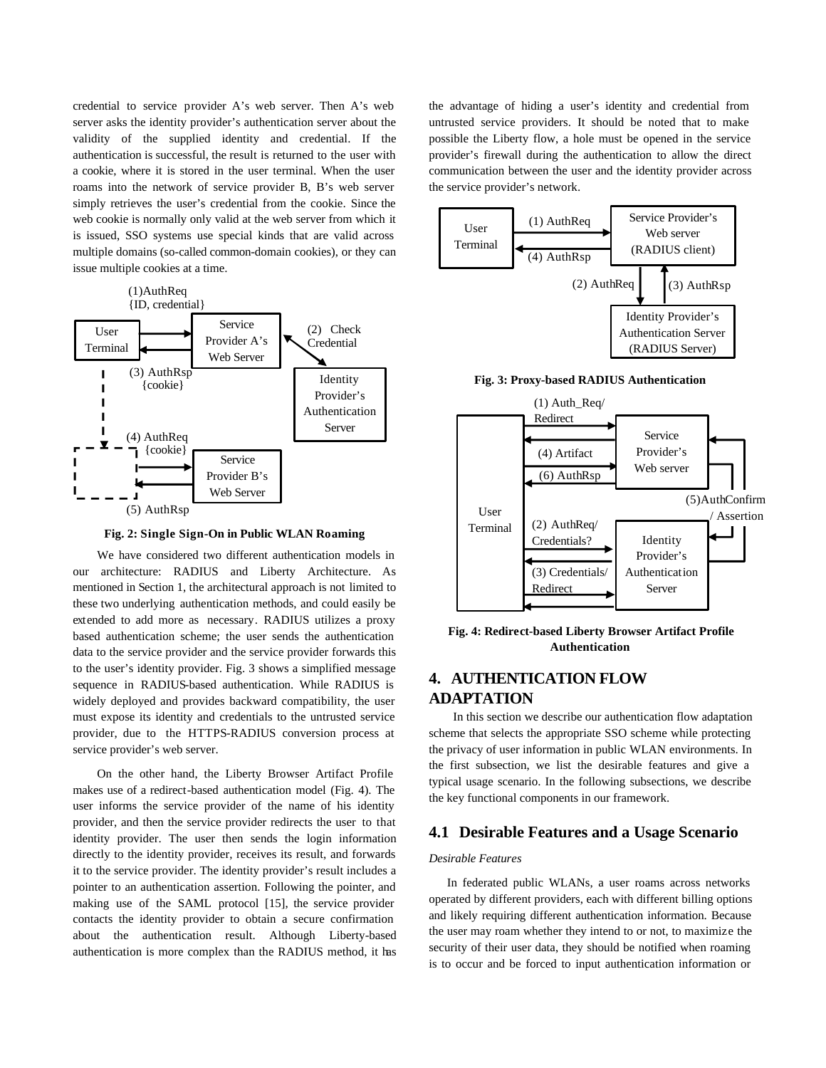credential to service provider A's web server. Then A's web server asks the identity provider's authentication server about the validity of the supplied identity and credential. If the authentication is successful, the result is returned to the user with a cookie, where it is stored in the user terminal. When the user roams into the network of service provider B, B's web server simply retrieves the user's credential from the cookie. Since the web cookie is normally only valid at the web server from which it is issued, SSO systems use special kinds that are valid across multiple domains (so-called common-domain cookies), or they can issue multiple cookies at a time.



**Fig. 2: Single Sign-On in Public WLAN Roaming**

We have considered two different authentication models in our architecture: RADIUS and Liberty Architecture. As mentioned in Section 1, the architectural approach is not limited to these two underlying authentication methods, and could easily be extended to add more as necessary. RADIUS utilizes a proxy based authentication scheme; the user sends the authentication data to the service provider and the service provider forwards this to the user's identity provider. Fig. 3 shows a simplified message sequence in RADIUS-based authentication. While RADIUS is widely deployed and provides backward compatibility, the user must expose its identity and credentials to the untrusted service provider, due to the HTTPS-RADIUS conversion process at service provider's web server.

On the other hand, the Liberty Browser Artifact Profile makes use of a redirect-based authentication model (Fig. 4). The user informs the service provider of the name of his identity provider, and then the service provider redirects the user to that identity provider. The user then sends the login information directly to the identity provider, receives its result, and forwards it to the service provider. The identity provider's result includes a pointer to an authentication assertion. Following the pointer, and making use of the SAML protocol [15], the service provider contacts the identity provider to obtain a secure confirmation about the authentication result. Although Liberty-based authentication is more complex than the RADIUS method, it has

the advantage of hiding a user's identity and credential from untrusted service providers. It should be noted that to make possible the Liberty flow, a hole must be opened in the service provider's firewall during the authentication to allow the direct communication between the user and the identity provider across the service provider's network.



**Fig. 3: Proxy-based RADIUS Authentication**



**Fig. 4: Redirect-based Liberty Browser Artifact Profile Authentication**

## **4. AUTHENTICATION FLOW ADAPTATION**

In this section we describe our authentication flow adaptation scheme that selects the appropriate SSO scheme while protecting the privacy of user information in public WLAN environments. In the first subsection, we list the desirable features and give a typical usage scenario. In the following subsections, we describe the key functional components in our framework.

## **4.1 Desirable Features and a Usage Scenario**

#### *Desirable Features*

In federated public WLANs, a user roams across networks operated by different providers, each with different billing options and likely requiring different authentication information. Because the user may roam whether they intend to or not, to maximize the security of their user data, they should be notified when roaming is to occur and be forced to input authentication information or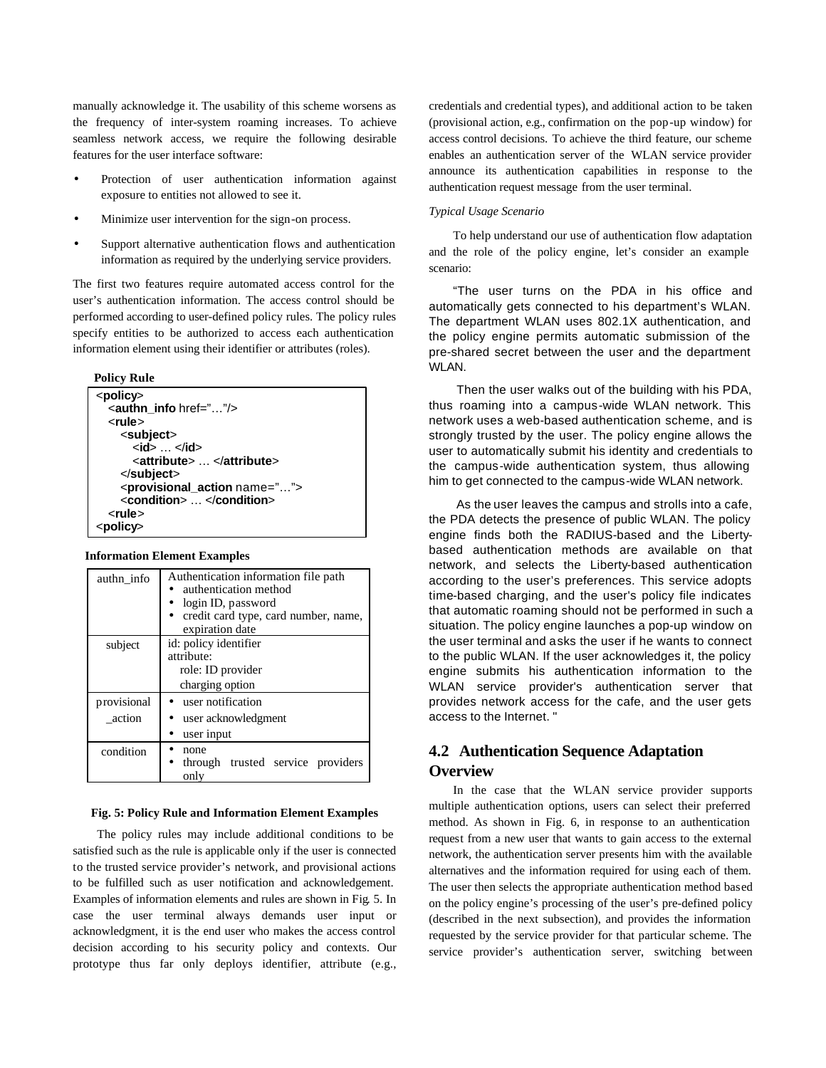manually acknowledge it. The usability of this scheme worsens as the frequency of inter-system roaming increases. To achieve seamless network access, we require the following desirable features for the user interface software:

- Protection of user authentication information against exposure to entities not allowed to see it.
- Minimize user intervention for the sign-on process.
- Support alternative authentication flows and authentication information as required by the underlying service providers.

The first two features require automated access control for the user's authentication information. The access control should be performed according to user-defined policy rules. The policy rules specify entities to be authorized to access each authentication information element using their identifier or attributes (roles).

#### **Policy Rule**

| <policy></policy>                                 |
|---------------------------------------------------|
| <authn href="" info=""></authn>                   |
| <rule></rule>                                     |
| <subject></subject>                               |
| $<$ id $>$ $\ldots$ $<$ /id $>$                   |
| <attribute> </attribute>                          |
| $<$ subject $>$                                   |
| <provisional_action name=""></provisional_action> |
| <condition> </condition>                          |
| <rule></rule>                                     |
| <policy></policy>                                 |

#### **Information Element Examples**

| authn_info  | Authentication information file path<br>authentication method<br>login ID, password<br>credit card type, card number, name,<br>expiration date |  |  |  |  |  |
|-------------|------------------------------------------------------------------------------------------------------------------------------------------------|--|--|--|--|--|
| subject     | id: policy identifier<br>attribute:                                                                                                            |  |  |  |  |  |
|             |                                                                                                                                                |  |  |  |  |  |
|             | role: ID provider                                                                                                                              |  |  |  |  |  |
|             | charging option                                                                                                                                |  |  |  |  |  |
| provisional | • user notification                                                                                                                            |  |  |  |  |  |
| action      | user acknowledgment                                                                                                                            |  |  |  |  |  |
|             | user input                                                                                                                                     |  |  |  |  |  |
| condition   | none<br>through trusted service providers<br>only                                                                                              |  |  |  |  |  |

#### **Fig. 5: Policy Rule and Information Element Examples**

The policy rules may include additional conditions to be satisfied such as the rule is applicable only if the user is connected to the trusted service provider's network, and provisional actions to be fulfilled such as user notification and acknowledgement. Examples of information elements and rules are shown in Fig. 5. In case the user terminal always demands user input or acknowledgment, it is the end user who makes the access control decision according to his security policy and contexts. Our prototype thus far only deploys identifier, attribute (e.g.,

credentials and credential types), and additional action to be taken (provisional action, e.g., confirmation on the pop-up window) for access control decisions. To achieve the third feature, our scheme enables an authentication server of the WLAN service provider announce its authentication capabilities in response to the authentication request message from the user terminal.

#### *Typical Usage Scenario*

To help understand our use of authentication flow adaptation and the role of the policy engine, let's consider an example scenario:

"The user turns on the PDA in his office and automatically gets connected to his department's WLAN. The department WLAN uses 802.1X authentication, and the policy engine permits automatic submission of the pre-shared secret between the user and the department WLAN.

 Then the user walks out of the building with his PDA, thus roaming into a campus-wide WLAN network. This network uses a web-based authentication scheme, and is strongly trusted by the user. The policy engine allows the user to automatically submit his identity and credentials to the campus-wide authentication system, thus allowing him to get connected to the campus-wide WLAN network.

 As the user leaves the campus and strolls into a cafe, the PDA detects the presence of public WLAN. The policy engine finds both the RADIUS-based and the Libertybased authentication methods are available on that network, and selects the Liberty-based authentication according to the user's preferences. This service adopts time-based charging, and the user's policy file indicates that automatic roaming should not be performed in such a situation. The policy engine launches a pop-up window on the user terminal and asks the user if he wants to connect to the public WLAN. If the user acknowledges it, the policy engine submits his authentication information to the WLAN service provider's authentication server that provides network access for the cafe, and the user gets access to the Internet. "

## **4.2 Authentication Sequence Adaptation Overview**

In the case that the WLAN service provider supports multiple authentication options, users can select their preferred method. As shown in Fig. 6, in response to an authentication request from a new user that wants to gain access to the external network, the authentication server presents him with the available alternatives and the information required for using each of them. The user then selects the appropriate authentication method based on the policy engine's processing of the user's pre-defined policy (described in the next subsection), and provides the information requested by the service provider for that particular scheme. The service provider's authentication server, switching between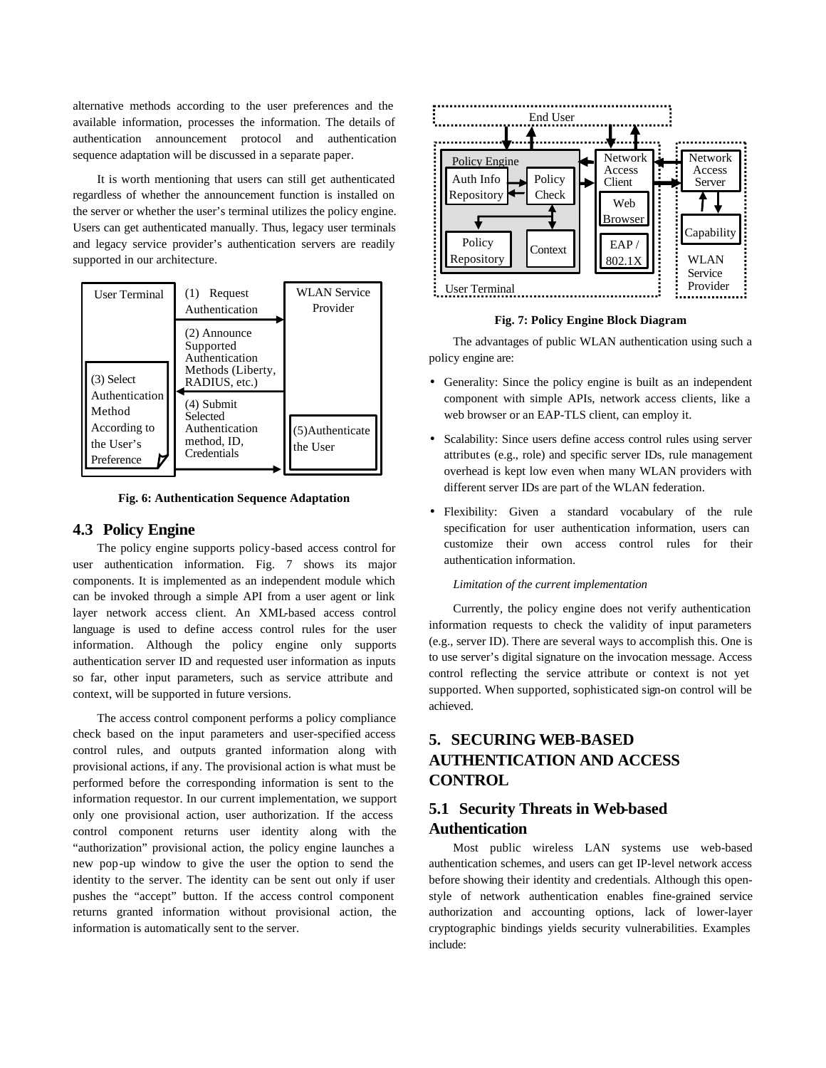alternative methods according to the user preferences and the available information, processes the information. The details of authentication announcement protocol and authentication sequence adaptation will be discussed in a separate paper.

It is worth mentioning that users can still get authenticated regardless of whether the announcement function is installed on the server or whether the user's terminal utilizes the policy engine. Users can get authenticated manually. Thus, legacy user terminals and legacy service provider's authentication servers are readily supported in our architecture.



**Fig. 6: Authentication Sequence Adaptation**

### **4.3 Policy Engine**

The policy engine supports policy-based access control for user authentication information. Fig. 7 shows its major components. It is implemented as an independent module which can be invoked through a simple API from a user agent or link layer network access client. An XML-based access control language is used to define access control rules for the user information. Although the policy engine only supports authentication server ID and requested user information as inputs so far, other input parameters, such as service attribute and context, will be supported in future versions.

The access control component performs a policy compliance check based on the input parameters and user-specified access control rules, and outputs granted information along with provisional actions, if any. The provisional action is what must be performed before the corresponding information is sent to the information requestor. In our current implementation, we support only one provisional action, user authorization. If the access control component returns user identity along with the "authorization" provisional action, the policy engine launches a new pop-up window to give the user the option to send the identity to the server. The identity can be sent out only if user pushes the "accept" button. If the access control component returns granted information without provisional action, the information is automatically sent to the server.



**Fig. 7: Policy Engine Block Diagram**

The advantages of public WLAN authentication using such a policy engine are:

- Generality: Since the policy engine is built as an independent component with simple APIs, network access clients, like a web browser or an EAP-TLS client, can employ it.
- Scalability: Since users define access control rules using server attributes (e.g., role) and specific server IDs, rule management overhead is kept low even when many WLAN providers with different server IDs are part of the WLAN federation.
- Flexibility: Given a standard vocabulary of the rule specification for user authentication information, users can customize their own access control rules for their authentication information.

#### *Limitation of the current implementation*

Currently, the policy engine does not verify authentication information requests to check the validity of input parameters (e.g., server ID). There are several ways to accomplish this. One is to use server's digital signature on the invocation message. Access control reflecting the service attribute or context is not yet supported. When supported, sophisticated sign-on control will be achieved.

## **5. SECURING WEB-BASED AUTHENTICATION AND ACCESS CONTROL**

## **5.1 Security Threats in Web-based Authentication**

Most public wireless LAN systems use web-based authentication schemes, and users can get IP-level network access before showing their identity and credentials. Although this openstyle of network authentication enables fine-grained service authorization and accounting options, lack of lower-layer cryptographic bindings yields security vulnerabilities. Examples include: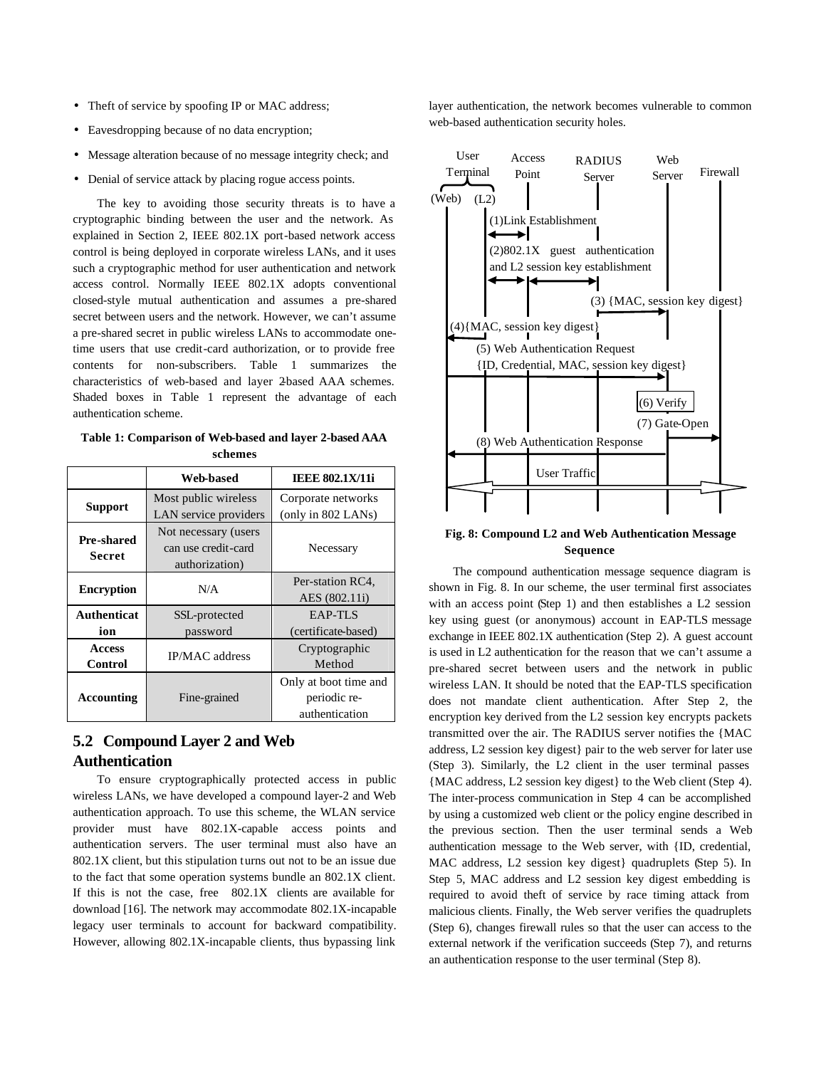- Theft of service by spoofing IP or MAC address;
- Eavesdropping because of no data encryption;
- Message alteration because of no message integrity check; and
- Denial of service attack by placing rogue access points.

The key to avoiding those security threats is to have a cryptographic binding between the user and the network. As explained in Section 2, IEEE 802.1X port-based network access control is being deployed in corporate wireless LANs, and it uses such a cryptographic method for user authentication and network access control. Normally IEEE 802.1X adopts conventional closed-style mutual authentication and assumes a pre-shared secret between users and the network. However, we can't assume a pre-shared secret in public wireless LANs to accommodate onetime users that use credit-card authorization, or to provide free contents for non-subscribers. Table 1 summarizes the characteristics of web-based and layer 2-based AAA schemes. Shaded boxes in Table 1 represent the advantage of each authentication scheme.

**Table 1: Comparison of Web-based and layer 2-based AAA schemes**

|                      | <b>Web-based</b>      | <b>IEEE 802.1X/11i</b> |  |  |  |
|----------------------|-----------------------|------------------------|--|--|--|
| <b>Support</b>       | Most public wireless  | Corporate networks     |  |  |  |
|                      | LAN service providers | (only in 802 LANs)     |  |  |  |
| Pre-shared<br>Secret | Not necessary (users  |                        |  |  |  |
|                      | can use credit-card   | Necessary              |  |  |  |
|                      | authorization)        |                        |  |  |  |
| <b>Encryption</b>    |                       | Per-station RC4.       |  |  |  |
|                      | N/A                   | AES (802.11i)          |  |  |  |
| Authenticat          | SSL-protected         | <b>EAP-TLS</b>         |  |  |  |
| ion                  | password              | (certificate-based)    |  |  |  |
| <b>Access</b>        |                       | Cryptographic          |  |  |  |
| Control              | <b>IP/MAC</b> address | Method                 |  |  |  |
| Accounting           |                       | Only at boot time and  |  |  |  |
|                      | Fine-grained          | periodic re-           |  |  |  |
|                      |                       | authentication         |  |  |  |

## **5.2 Compound Layer 2 and Web Authentication**

To ensure cryptographically protected access in public wireless LANs, we have developed a compound layer-2 and Web authentication approach. To use this scheme, the WLAN service provider must have 802.1X-capable access points and authentication servers. The user terminal must also have an 802.1X client, but this stipulation turns out not to be an issue due to the fact that some operation systems bundle an 802.1X client. If this is not the case, free 802.1X clients are available for download [16]. The network may accommodate 802.1X-incapable legacy user terminals to account for backward compatibility. However, allowing 802.1X-incapable clients, thus bypassing link

layer authentication, the network becomes vulnerable to common web-based authentication security holes.



### **Fig. 8: Compound L2 and Web Authentication Message Sequence**

The compound authentication message sequence diagram is shown in Fig. 8. In our scheme, the user terminal first associates with an access point (Step 1) and then establishes a L2 session key using guest (or anonymous) account in EAP-TLS message exchange in IEEE 802.1X authentication (Step 2). A guest account is used in L2 authentication for the reason that we can't assume a pre-shared secret between users and the network in public wireless LAN. It should be noted that the EAP-TLS specification does not mandate client authentication. After Step 2, the encryption key derived from the L2 session key encrypts packets transmitted over the air. The RADIUS server notifies the {MAC address, L2 session key digest} pair to the web server for later use (Step 3). Similarly, the L2 client in the user terminal passes {MAC address, L2 session key digest} to the Web client (Step 4). The inter-process communication in Step 4 can be accomplished by using a customized web client or the policy engine described in the previous section. Then the user terminal sends a Web authentication message to the Web server, with {ID, credential, MAC address, L2 session key digest} quadruplets (Step 5). In Step 5, MAC address and L2 session key digest embedding is required to avoid theft of service by race timing attack from malicious clients. Finally, the Web server verifies the quadruplets (Step 6), changes firewall rules so that the user can access to the external network if the verification succeeds (Step 7), and returns an authentication response to the user terminal (Step 8).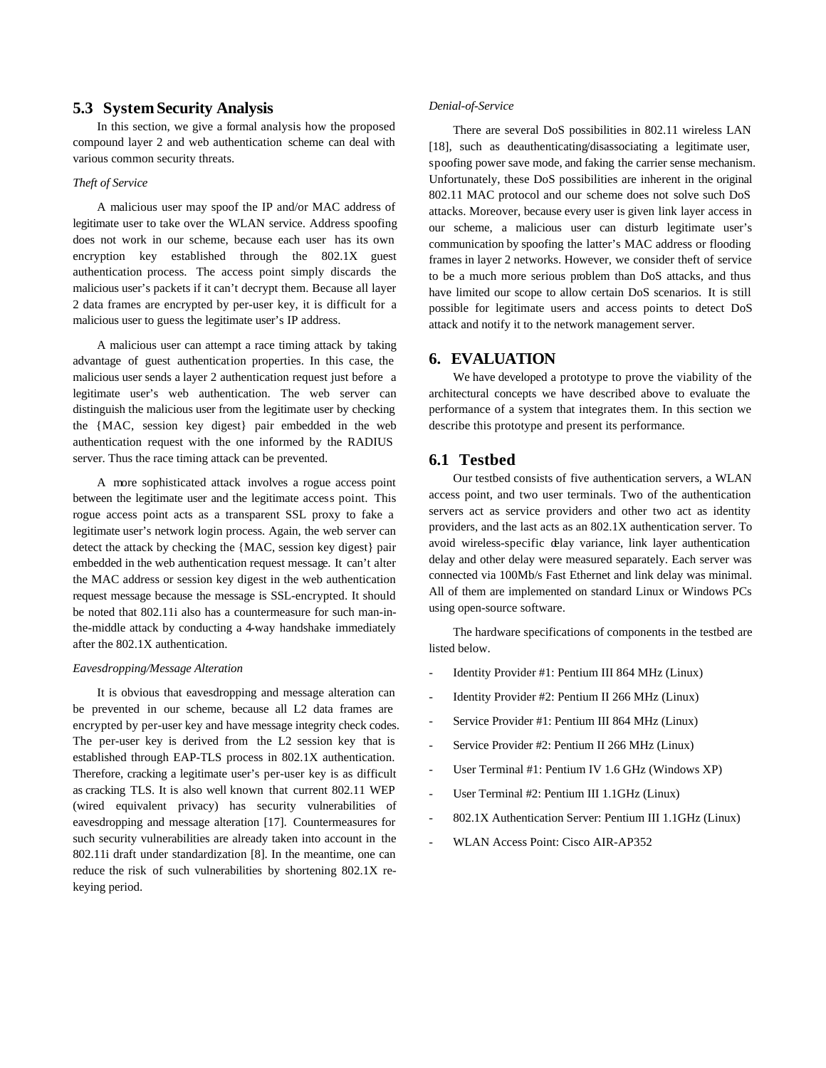### **5.3 System Security Analysis**

In this section, we give a formal analysis how the proposed compound layer 2 and web authentication scheme can deal with various common security threats.

#### *Theft of Service*

A malicious user may spoof the IP and/or MAC address of legitimate user to take over the WLAN service. Address spoofing does not work in our scheme, because each user has its own encryption key established through the 802.1X guest authentication process. The access point simply discards the malicious user's packets if it can't decrypt them. Because all layer 2 data frames are encrypted by per-user key, it is difficult for a malicious user to guess the legitimate user's IP address.

A malicious user can attempt a race timing attack by taking advantage of guest authentication properties. In this case, the malicious user sends a layer 2 authentication request just before a legitimate user's web authentication. The web server can distinguish the malicious user from the legitimate user by checking the {MAC, session key digest} pair embedded in the web authentication request with the one informed by the RADIUS server. Thus the race timing attack can be prevented.

A more sophisticated attack involves a rogue access point between the legitimate user and the legitimate access point. This rogue access point acts as a transparent SSL proxy to fake a legitimate user's network login process. Again, the web server can detect the attack by checking the {MAC, session key digest} pair embedded in the web authentication request message. It can't alter the MAC address or session key digest in the web authentication request message because the message is SSL-encrypted. It should be noted that 802.11i also has a countermeasure for such man-inthe-middle attack by conducting a 4-way handshake immediately after the 802.1X authentication.

#### *Eavesdropping/Message Alteration*

It is obvious that eavesdropping and message alteration can be prevented in our scheme, because all L2 data frames are encrypted by per-user key and have message integrity check codes. The per-user key is derived from the L2 session key that is established through EAP-TLS process in 802.1X authentication. Therefore, cracking a legitimate user's per-user key is as difficult as cracking TLS. It is also well known that current 802.11 WEP (wired equivalent privacy) has security vulnerabilities of eavesdropping and message alteration [17]. Countermeasures for such security vulnerabilities are already taken into account in the 802.11i draft under standardization [8]. In the meantime, one can reduce the risk of such vulnerabilities by shortening 802.1X rekeying period.

#### *Denial-of-Service*

There are several DoS possibilities in 802.11 wireless LAN [18], such as deauthenticating/disassociating a legitimate user, spoofing power save mode, and faking the carrier sense mechanism. Unfortunately, these DoS possibilities are inherent in the original 802.11 MAC protocol and our scheme does not solve such DoS attacks. Moreover, because every user is given link layer access in our scheme, a malicious user can disturb legitimate user's communication by spoofing the latter's MAC address or flooding frames in layer 2 networks. However, we consider theft of service to be a much more serious problem than DoS attacks, and thus have limited our scope to allow certain DoS scenarios. It is still possible for legitimate users and access points to detect DoS attack and notify it to the network management server.

### **6. EVALUATION**

We have developed a prototype to prove the viability of the architectural concepts we have described above to evaluate the performance of a system that integrates them. In this section we describe this prototype and present its performance.

### **6.1 Testbed**

Our testbed consists of five authentication servers, a WLAN access point, and two user terminals. Two of the authentication servers act as service providers and other two act as identity providers, and the last acts as an 802.1X authentication server. To avoid wireless-specific delay variance, link layer authentication delay and other delay were measured separately. Each server was connected via 100Mb/s Fast Ethernet and link delay was minimal. All of them are implemented on standard Linux or Windows PCs using open-source software.

The hardware specifications of components in the testbed are listed below.

- Identity Provider #1: Pentium III 864 MHz (Linux)
- Identity Provider #2: Pentium II 266 MHz (Linux)
- Service Provider #1: Pentium III 864 MHz (Linux)
- Service Provider #2: Pentium II 266 MHz (Linux)
- User Terminal #1: Pentium IV 1.6 GHz (Windows XP)
- User Terminal #2: Pentium III 1.1GHz (Linux)
- 802.1X Authentication Server: Pentium III 1.1GHz (Linux)
- WLAN Access Point: Cisco AIR-AP352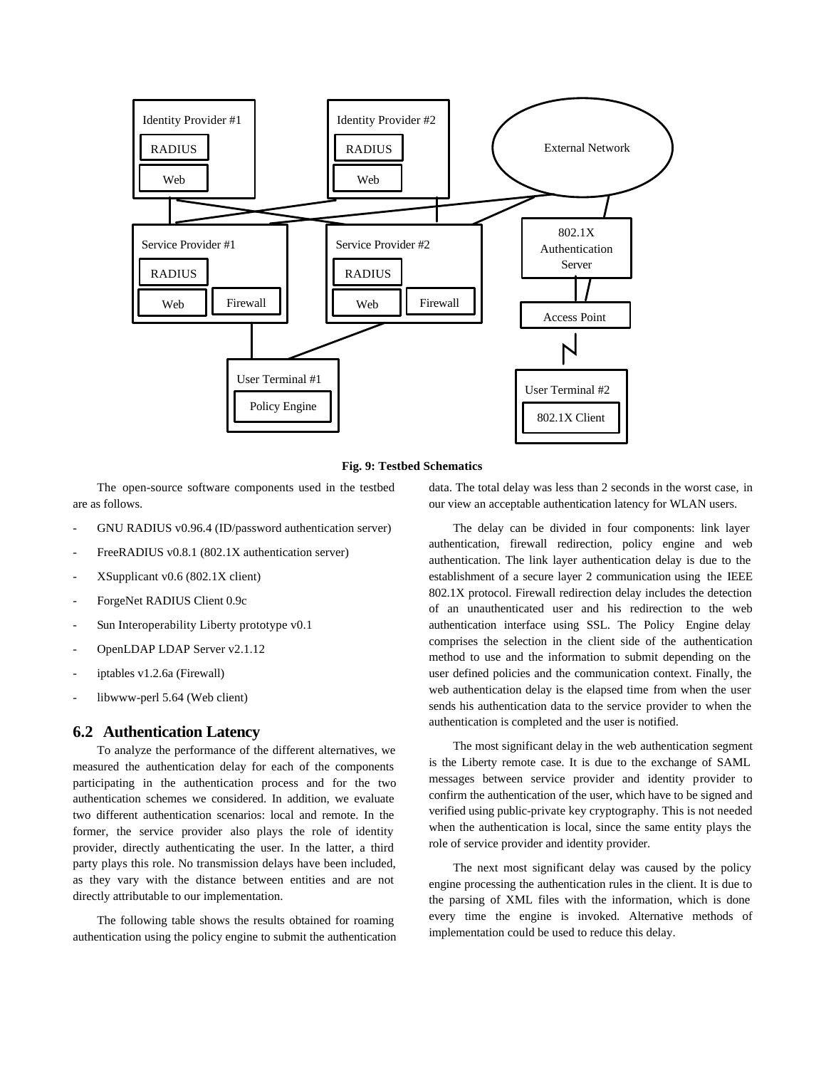

**Fig. 9: Testbed Schematics**

The open-source software components used in the testbed are as follows.

- GNU RADIUS v0.96.4 (ID/password authentication server)
- FreeRADIUS v0.8.1 (802.1X authentication server)
- XSupplicant v0.6 (802.1X client)
- ForgeNet RADIUS Client 0.9c
- Sun Interoperability Liberty prototype v0.1
- OpenLDAP LDAP Server v2.1.12
- iptables v1.2.6a (Firewall)
- libwww-perl 5.64 (Web client)

### **6.2 Authentication Latency**

To analyze the performance of the different alternatives, we measured the authentication delay for each of the components participating in the authentication process and for the two authentication schemes we considered. In addition, we evaluate two different authentication scenarios: local and remote. In the former, the service provider also plays the role of identity provider, directly authenticating the user. In the latter, a third party plays this role. No transmission delays have been included, as they vary with the distance between entities and are not directly attributable to our implementation.

The following table shows the results obtained for roaming authentication using the policy engine to submit the authentication data. The total delay was less than 2 seconds in the worst case, in our view an acceptable authentication latency for WLAN users.

The delay can be divided in four components: link layer authentication, firewall redirection, policy engine and web authentication. The link layer authentication delay is due to the establishment of a secure layer 2 communication using the IEEE 802.1X protocol. Firewall redirection delay includes the detection of an unauthenticated user and his redirection to the web authentication interface using SSL. The Policy Engine delay comprises the selection in the client side of the authentication method to use and the information to submit depending on the user defined policies and the communication context. Finally, the web authentication delay is the elapsed time from when the user sends his authentication data to the service provider to when the authentication is completed and the user is notified.

The most significant delay in the web authentication segment is the Liberty remote case. It is due to the exchange of SAML messages between service provider and identity provider to confirm the authentication of the user, which have to be signed and verified using public-private key cryptography. This is not needed when the authentication is local, since the same entity plays the role of service provider and identity provider.

The next most significant delay was caused by the policy engine processing the authentication rules in the client. It is due to the parsing of XML files with the information, which is done every time the engine is invoked. Alternative methods of implementation could be used to reduce this delay.